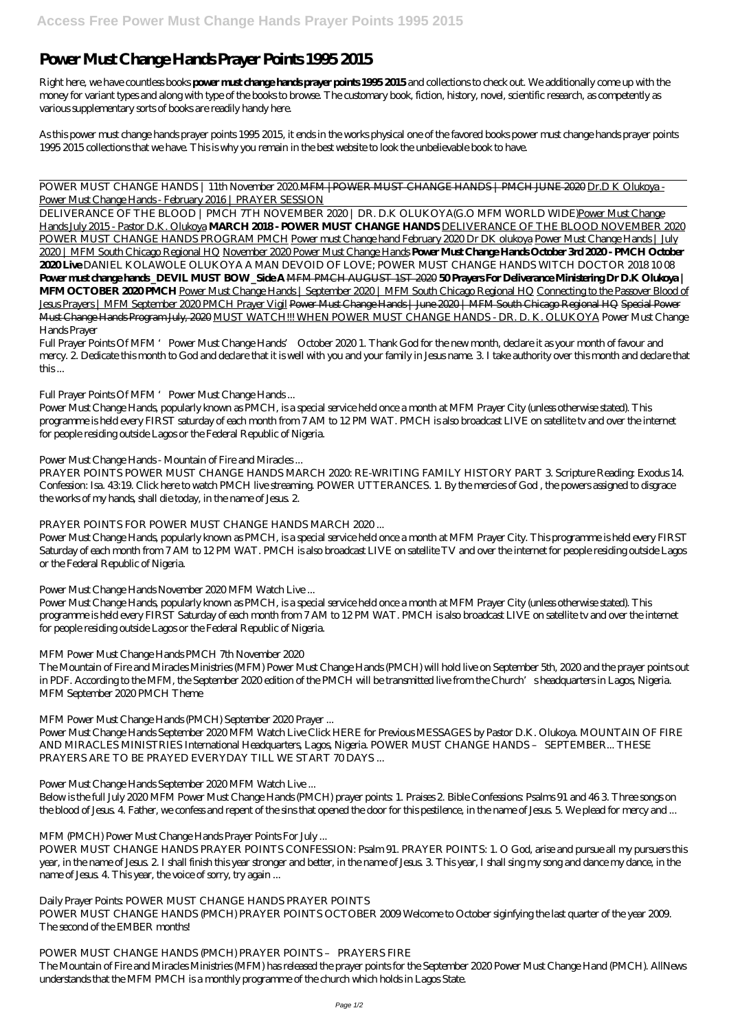# **Power Must Change Hands Prayer Points 1995 2015**

Right here, we have countless books **power must change hands prayer points 1995 2015** and collections to check out. We additionally come up with the money for variant types and along with type of the books to browse. The customary book, fiction, history, novel, scientific research, as competently as various supplementary sorts of books are readily handy here.

POWER MUST CHANGE HANDS | 11th November 2020.MFM | POWER MUST CHANGE HANDS | PMCH JUNE 2020 Dr.D K Olukoya -Power Must Change Hands - February 2016 | PRAYER SESSION

As this power must change hands prayer points 1995 2015, it ends in the works physical one of the favored books power must change hands prayer points 1995 2015 collections that we have. This is why you remain in the best website to look the unbelievable book to have.

DELIVERANCE OF THE BLOOD | PMCH 7TH NOVEMBER 2020 | DR. D.K OLUKOYA(G.O MFM WORLD WIDE)Power Must Change Hands July 2015 - Pastor D.K. Olukoya **MARCH 2018 - POWER MUST CHANGE HANDS** DELIVERANCE OF THE BLOOD NOVEMBER 2020 POWER MUST CHANGE HANDS PROGRAM PMCH Power must Change hand February 2020 Dr DK olukoya Power Must Change Hands | July 2020 | MFM South Chicago Regional HQ November 2020 Power Must Change Hands **Power Must Change Hands October 3rd 2020 - PMCH October 2020 Live** *DANIEL KOLAWOLE OLUKOYA A MAN DEVOID OF LOVE; POWER MUST CHANGE HANDS WITCH DOCTOR 2018 10 08* **Power must change hands \_DEVIL MUST BOW \_Side A** MFM PMCH AUGUST 1ST 2020 **50 Prayers For Deliverance Ministering Dr D.K Olukoya | MFM OCTOBER 2020 PMCH** Power Must Change Hands | September 2020 | MFM South Chicago Regional HQ Connecting to the Passover Blood of Jesus Prayers | MFM September 2020 PMCH Prayer Vigil Power Must Change Hands | June 2020 | MFM South Chicago Regional HQ Special Power Must Change Hands Program July, 2020 MUST WATCH!!! WHEN POWER MUST CHANGE HANDS - DR. D. K. OLUKOYA *Power Must Change Hands Prayer*

PRAYER POINTS POWER MUST CHANGE HANDS MARCH 2020. RE-WRITING FAMILY HISTORY PART 3. Scripture Reading: Exodus 14. Confession: Isa. 43:19. Click here to watch PMCH live streaming. POWER UTTERANCES. 1. By the mercies of God , the powers assigned to disgrace the works of my hands, shall die today, in the name of Jesus. 2.

Full Prayer Points Of MFM 'Power Must Change Hands' October 2020 1. Thank God for the new month, declare it as your month of favour and mercy. 2. Dedicate this month to God and declare that it is well with you and your family in Jesus name. 3. I take authority over this month and declare that this ...

Power Must Change Hands September 2020 MFM Watch Live Click HERE for Previous MESSAGES by Pastor D.K. Olukoya. MOUNTAIN OF FIRE AND MIRACLES MINISTRIES International Headquarters, Lagos, Nigeria. POWER MUST CHANGE HANDS – SEPTEMBER... THESE PRAYERS ARE TO BE PRAYED EVERYDAY TILL WE START 70 DAYS ...

# *Full Prayer Points Of MFM 'Power Must Change Hands ...*

POWER MUST CHANGE HANDS PRAYER POINTS CONFESSION: Psalm 91. PRAYER POINTS: 1. O God, arise and pursue all my pursuers this year, in the name of Jesus. 2. I shall finish this year stronger and better, in the name of Jesus. 3. This year, I shall sing my song and dance my dance, in the name of Jesus. 4. This year, the voice of sorry, try again ...

Power Must Change Hands, popularly known as PMCH, is a special service held once a month at MFM Prayer City (unless otherwise stated). This programme is held every FIRST saturday of each month from 7 AM to 12 PM WAT. PMCH is also broadcast LIVE on satellite tv and over the internet for people residing outside Lagos or the Federal Republic of Nigeria.

# *Power Must Change Hands - Mountain of Fire and Miracles ...*

# *PRAYER POINTS FOR POWER MUST CHANGE HANDS MARCH 2020 ...*

Power Must Change Hands, popularly known as PMCH, is a special service held once a month at MFM Prayer City. This programme is held every FIRST Saturday of each month from 7 AM to 12 PM WAT. PMCH is also broadcast LIVE on satellite TV and over the internet for people residing outside Lagos or the Federal Republic of Nigeria.

# *Power Must Change Hands November 2020 MFM Watch Live ...*

Power Must Change Hands, popularly known as PMCH, is a special service held once a month at MFM Prayer City (unless otherwise stated). This programme is held every FIRST Saturday of each month from 7 AM to 12 PM WAT. PMCH is also broadcast LIVE on satellite tv and over the internet for people residing outside Lagos or the Federal Republic of Nigeria.

# *MFM Power Must Change Hands PMCH 7th November 2020*

The Mountain of Fire and Miracles Ministries (MFM) Power Must Change Hands (PMCH) will hold live on September 5th, 2020 and the prayer points out in PDF. According to the MFM, the September 2020 edition of the PMCH will be transmitted live from the Church's headquarters in Lagos, Nigeria. MFM September 2020 PMCH Theme

# *MFM Power Must Change Hands (PMCH) September 2020 Prayer ...*

#### *Power Must Change Hands September 2020 MFM Watch Live ...*

Below is the full July 2020 MFM Power Must Change Hands (PMCH) prayer points: 1. Praises 2. Bible Confessions: Psalms 91 and 46 3. Three songs on the blood of Jesus. 4. Father, we confess and repent of the sins that opened the door for this pestilence, in the name of Jesus. 5. We plead for mercy and ...

#### *MFM (PMCH) Power Must Change Hands Prayer Points For July ...*

#### *Daily Prayer Points: POWER MUST CHANGE HANDS PRAYER POINTS* POWER MUST CHANGE HANDS (PMCH) PRAYER POINTS OCTOBER 2009 Welcome to October siginfying the last quarter of the year 2009. The second of the EMBER months!

*POWER MUST CHANGE HANDS (PMCH) PRAYER POINTS – PRAYERS FIRE* The Mountain of Fire and Miracles Ministries (MFM) has released the prayer points for the September 2020 Power Must Change Hand (PMCH). AllNews understands that the MFM PMCH is a monthly programme of the church which holds in Lagos State.